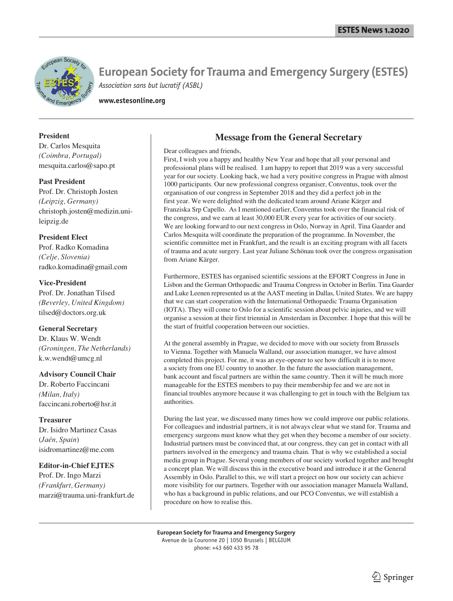

**European Society for Trauma and Emergency Surgery (ESTES)** *Association sans but lucratif (ASBL)*

**www.estesonline.org**

## **President**

Dr. Carlos Mesquita *(Coimbra, Portugal)* mesquita.carlos@sapo.pt

**Past President** Prof. Dr. Christoph Josten *(Leipzig, Germany)* christoph.josten@medizin.unileipzig.de

**President Elect** Prof. Radko Komadina *(Celje, Slovenia)* radko.komadina@gmail.com

## **Vice-President**

Prof. Dr. Jonathan Tilsed *(Beverley, United Kingdom)* tilsed@doctors.org.uk

### **General Secretary**

Dr. Klaus W. Wendt *(Groningen, The Netherlands)* k.w.wendt@umcg.nl

#### **Advisory Council Chair**

Dr. Roberto Faccincani *(Milan, Italy)* faccincani.roberto@hsr.it

#### **Treasurer**

Dr. Isidro Martinez Casas (*Jaén, Spain*) isidromartinez@me.com

### **Editor-in-Chief EJTES**

Prof. Dr. Ingo Marzi *(Frankfurt, Germany)* marzi@trauma.uni-frankfurt.de

## **Message from the General Secretary**

#### Dear colleagues and friends,

First, I wish you a happy and healthy New Year and hope that all your personal and professional plans will be realised. I am happy to report that 2019 was a very successful year for our society. Looking back, we had a very positive congress in Prague with almost 1000 participants. Our new professional congress organiser, Conventus, took over the organisation of our congress in September 2018 and they did a perfect job in the first year. We were delighted with the dedicated team around Ariane Kärger and Franziska Srp Capello. As I mentioned earlier, Conventus took over the financial risk of the congress, and we earn at least 30,000 EUR every year for activities of our society. We are looking forward to our next congress in Oslo, Norway in April. Tina Gaarder and Carlos Mesquita will coordinate the preparation of the programme. In November, the scientific committee met in Frankfurt, and the result is an exciting program with all facets of trauma and acute surgery. Last year Juliane Schönau took over the congress organisation from Ariane Kärger.

Furthermore, ESTES has organised scientific sessions at the EFORT Congress in June in Lisbon and the German Orthopaedic and Trauma Congress in October in Berlin. Tina Gaarder and Luke Leenen represented us at the AAST meeting in Dallas, United States. We are happy that we can start cooperation with the International Orthopaedic Trauma Organisation (IOTA). They will come to Oslo for a scientific session about pelvic injuries, and we will organise a session at their first triennial in Amsterdam in December. I hope that this will be the start of fruitful cooperation between our societies.

At the general assembly in Prague, we decided to move with our society from Brussels to Vienna. Together with Manuela Walland, our association manager, we have almost completed this project. For me, it was an eye-opener to see how difficult it is to move a society from one EU country to another. In the future the association management, bank account and fiscal partners are within the same country. Then it will be much more manageable for the ESTES members to pay their membership fee and we are not in financial troubles anymore because it was challenging to get in touch with the Belgium tax authorities.

During the last year, we discussed many times how we could improve our public relations. For colleagues and industrial partners, it is not always clear what we stand for. Trauma and emergency surgeons must know what they get when they become a member of our society. Industrial partners must be convinced that, at our congress, they can get in contact with all partners involved in the emergency and trauma chain. That is why we established a social media group in Prague. Several young members of our society worked together and brought a concept plan. We will discuss this in the executive board and introduce it at the General Assembly in Oslo. Parallel to this, we will start a project on how our society can achieve more visibility for our partners. Together with our association manager Manuela Walland, who has a background in public relations, and our PCO Conventus, we will establish a procedure on how to realise this.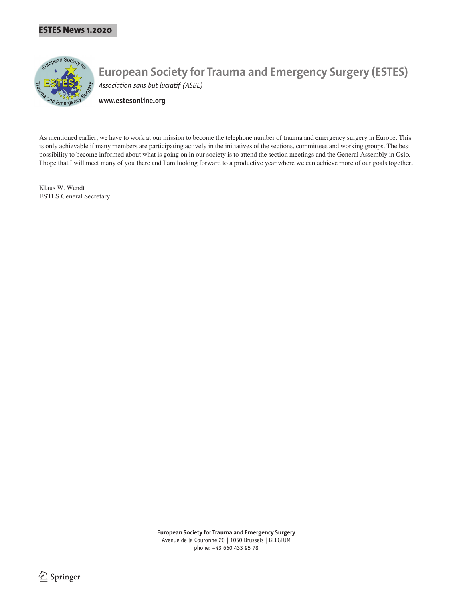

**European Society for Trauma and Emergency Surgery (ESTES)** *Association sans but lucratif (ASBL)*

**www.estesonline.org**

As mentioned earlier, we have to work at our mission to become the telephone number of trauma and emergency surgery in Europe. This is only achievable if many members are participating actively in the initiatives of the sections, committees and working groups. The best possibility to become informed about what is going on in our society is to attend the section meetings and the General Assembly in Oslo. I hope that I will meet many of you there and I am looking forward to a productive year where we can achieve more of our goals together.

Klaus W. Wendt ESTES General Secretary